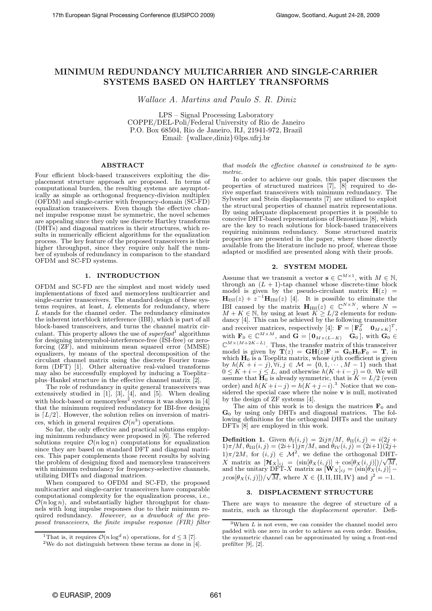# MINIMUM REDUNDANCY MULTICARRIER AND SINGLE-CARRIER SYSTEMS BASED ON HARTLEY TRANSFORMS

Wallace A. Martins and Paulo S. R. Diniz

LPS – Signal Processing Laboratory COPPE/DEL-Poli/Federal University of Rio de Janeiro P.O. Box 68504, Rio de Janeiro, RJ, 21941-972, Brazil Email: {wallace,diniz}@lps.ufrj.br

## **ABSTRACT**

Four efficient block-based transceivers exploiting the displacement structure approach are proposed. In terms of computational burden, the resulting systems are asymptotically as simple as orthogonal frequency-division multiplex (OFDM) and single-carrier with frequency-domain (SC-FD) equalization transceivers. Even though the effective channel impulse response must be symmetric, the novel schemes are appealing since they only use discrete Hartley transforms (DHTs) and diagonal matrices in their structures, which results in numerically efficient algorithms for the equalization process. The key feature of the proposed transceivers is their higher throughput, since they require only half the number of symbols of redundancy in comparison to the standard OFDM and SC-FD systems.

## 1. INTRODUCTION

OFDM and SC-FD are the simplest and most widely used implementations of fixed and memoryless multicarrier and single-carrier transceivers. The standard design of these systems requires, at least, L elements for redundancy, where L stands for the channel order. The redundancy eliminates the inherent interblock interference (IBI), which is part of all block-based transceivers, and turns the channel matrix circulant. This property allows the use of *superfast*<sup>1</sup> algorithms for designing intersymbol-interference-free (ISI-free) or zeroforcing (ZF), and minimum mean squared error (MMSE) equalizers, by means of the spectral decomposition of the circulant channel matrix using the discrete Fourier transform (DFT) [1]. Other alternative real-valued transforms may also be successfully employed by inducing a Toeplitz– plus–Hankel structure in the effective channel matrix [2].

The role of redundancy in quite general transceivers was extensively studied in [1], [3], [4], and [5]. When dealing with block-based or memoryless<sup>2</sup> systems it was shown in  $[4]$ that the minimum required redundancy for IBI-free designs is  $[L/2]$ . However, the solution relies on inversion of matrices, which in general requires  $\mathcal{O}(n^3)$  operations.

So far, the only effective and practical solutions employing minimum redundancy were proposed in [6]. The referred solutions require  $\mathcal{O}(n \log n)$  computations for equalization since they are based on standard DFT and diagonal matrices. This paper complements those recent results by solving the problem of designing fixed and memoryless transceivers with minimum redundancy for frequency-selective channels, utilizing DHTs and diagonal matrices.

When compared to OFDM and SC-FD, the proposed multicarrier and single-carrier transceivers have comparable computational complexity for the equalization process, i.e.,  $\mathcal{O}(n \log n)$ , and substantially higher throughput for channels with long impulse responses due to their minimum required redundancy. *However, as a drawback of the proposed transceivers, the finite impulse response (FIR) filter* *that models the effective channel is constrained to be symmetric*.

In order to achieve our goals, this paper discusses the properties of structured matrices [7], [8] required to derive superfast transceivers with minimum redundancy. The Sylvester and Stein displacements [7] are utilized to exploit the structural properties of channel matrix representations. By using adequate displacement properties it is possible to conceive DHT-based representations of Bezoutians [8], which are the key to reach solutions for block-based transceivers requiring minimum redundancy. Some structured matrix properties are presented in the paper, where those directly available from the literature include no proof, whereas those adapted or modified are presented along with their proofs.

## 2. SYSTEM MODEL

Assume that we transmit a vector  $\mathbf{s} \in \mathbb{C}^{M \times 1}$ , with  $M \in \mathbb{N}$ , through an  $(L + 1)$ -tap channel whose discrete-time block model is given by the pseudo-circulant matrix  $H(z)$  =  $\mathbf{H}_{\text{ISI}}(z) + z^{-1} \mathbf{H}_{\text{IBI}}(z)$  [4]. It is possible to eliminate the IBI caused by the matrix  $\mathbf{H}_{IBI}(z) \in \mathbb{C}^{N \times N}$ , where  $N =$  $M + K \in \mathbb{N}$ , by using at least  $K \geq L/2$  elements for redundancy [4]. This can be achieved by the following transmitter and receiver matrices, respectively [4]:  $\mathbf{F} = [\mathbf{F}_0^T \quad \mathbf{0}_{M \times K}]^T$ , with  $\mathbf{F}_0 \in \mathbb{C}^{M \times M}$ , and  $\mathbf{G} = [\mathbf{0}_{M \times (L-K)} \quad \mathbf{G}_0]$ , with  $\mathbf{G}_0 \in$  $\mathbb{C}^{M\times (M+2K-L)}$ . Thus, the transfer matrix of this transceiver model is given by  $\mathbf{T}(z) = \mathbf{G}\mathbf{H}(z)\mathbf{F} = \mathbf{G}_0\mathbf{H}_0\mathbf{F}_0 = \mathbf{T}$ , in which  $H_0$  is a Toeplitz matrix, whose *ij*th coefficient is given by  $h(K + i - j), \forall i, j \in \mathcal{M} = \{0, 1, \dots, M - 1\}$  such that  $0 \leq K + i - j \leq L$ , and otherwise  $h(K + i - j) = 0$ . We will assume that  $\mathbf{H}_0$  is already symmetric, that is  $K = L/2$  (even order) and  $h(K+i-j) = h(K+j-i)$ .<sup>3</sup> Notice that we considered the special case where the noise  $\bf{v}$  is null, motivated by the design of ZF systems [4].

The aim of this work is to design the matrices  $F_0$  and  $G_0$  by using only DHTs and diagonal matrices. The following definitions for the orthogonal DHTs and the unitary DFTs [8] are employed in this work.

**Definition 1.** Given  $\theta_{\text{I}}(i, j) = 2ij\pi/M$ ,  $\theta_{\text{II}}(i, j) = i(2j + j)$  $1)\pi/M$ ,  $\theta_{\text{III}}(i, j) = (2i+1)j\pi/M$ , and  $\theta_{\text{IV}}(i, j) = (2i+1)(2j+1)$  $1\pi/2M$ , for  $(i, j) \in \mathcal{M}^2$ , we define the orthogonal DHT-X matrix as  $[\mathcal{H}_X]_{ij} = (\sin[\theta_X(i,j)] + \cos[\theta_X(i,j)])/\sqrt{M}$ , and the unitary DFT-X matrix as  $[\mathbf{W}_X]_{ij} = (\sin[\theta_X(i,j)]$  $c_1 \cos[\theta_X(i,j)])/\sqrt{M}$ , where  $X \in \{I, II, III, IV\}$  and  $j^2 = -1$ .

#### 3. DISPLACEMENT STRUCTURE

There are ways to measure the degree of structure of a matrix, such as through the *displacement operator*. Defi-

<sup>&</sup>lt;sup>1</sup>That is, it requires  $\mathcal{O}(n \log^d n)$  operations, for  $d \leq 3$  [7].

<sup>2</sup>We do not distinguish between these terms as done in [4].

 $^3\rm{When}~L$  is not even, we can consider the channel model zero padded with one zero in order to achieve an even order. Besides, the symmetric channel can be approximated by using a front-end prefilter [9], [2].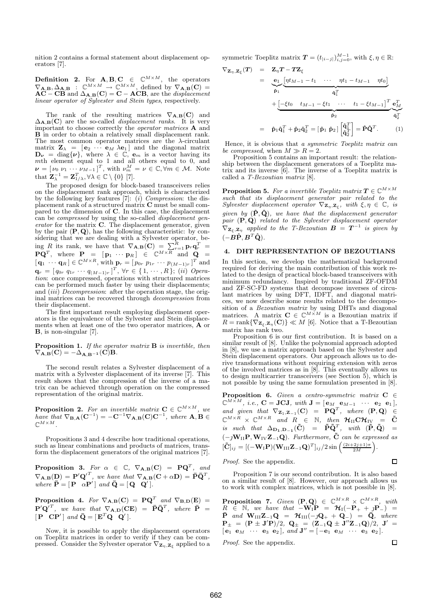nition 2 contains a formal statement about displacement operators [7].

**Definition 2.** For  $\mathbf{A}, \mathbf{B}, \mathbf{C} \in \mathbb{C}^{M \times M}$ , the operators  $\nabla_{\mathbf{A},\mathbf{B}}, \Delta_{\mathbf{A},\mathbf{B}} : \mathbb{C}^{M \times M} \to \mathbb{C}^{M \times M},$  defined by  $\nabla_{\mathbf{A},\mathbf{B}}(\mathbf{C}) =$  $AC - CB$  and  $\Delta_{A,B}(C) = C - ACB$ , are the *displacement linear operator of Sylvester and Stein types*, respectively.

The rank of the resulting matrices  $\nabla_{\mathbf{A},\mathbf{B}}(\mathbf{C})$  and  $\Delta_{\mathbf{A},\mathbf{B}}(\mathbf{C})$  are the so-called *displacement ranks*. It is very important to choose correctly the *operator matrices* A and **B** in order to obtain a relatively small displacement rank. The most common operator matrices are the  $\lambda$ -circulant matrix  $\mathbf{Z}_{\lambda} = [\mathbf{e}_2 \cdots \mathbf{e}_M \lambda \mathbf{e}_1]$  and the diagonal matrix  $\mathbf{D}_{\nu} = \text{diag}\{\nu\}$ , where  $\lambda \in \mathbb{C}$ ,  $\mathbf{e}_{m}$  is a vector having its *mth* element equal to 1 and all others equal to 0, and  $\nu = [\nu_0 \nu_1 \cdots \nu_{M-1}]^T$ , with  $\nu_m^M = \nu \in \mathbb{C}, \forall m \in \mathcal{M}$ . Note that  $\mathbf{Z}_{\lambda}^{-1} = \mathbf{Z}_{1/\lambda}^T, \forall \lambda \in \mathbb{C} \setminus \{0\}$  [7].

The proposed design for block-based transceivers relies on the displacement rank approach, which is characterized by the following key features [7]: (i) *Compression*: the displacement rank of a structured matrix C must be small compared to the dimension of C. In this case, the displacement can be *compressed* by using the so-called *displacement generator* for the matrix C. The displacement generator, given by the pair  $(P, Q)$ , has the following characteristic: by considering that we are dealing with a Sylvester operator, being R its rank, we have that  $\nabla_{\mathbf{A},\mathbf{B}}(\mathbf{C}) = \sum_{r=1}^{R} \mathbf{p}_r \mathbf{q}_r^T$  $\mathbf{P}\mathbf{Q}^T$ , where  $\mathbf{P}_{\mathbf{Q}} = [\mathbf{p}_1 \cdots \mathbf{p}_R] \in \mathbb{C}^{M \times R}$  and  $\mathbf{Q}_{\mathbf{Q}} =$  $[\mathbf{q}_1 \cdots \mathbf{q}_R] \in \mathbb{C}^{M \times R}$ , with  $\mathbf{p}_r = [p_{0r} \ p_{1r} \ \cdots \ p_{(M-1)r}]^T$  and  $\mathbf{q}_r = [q_{0r} \ q_{1r} \ \cdots \ q_{(M-1)r}]^T$ ,  $\forall r \in \{1, \cdots, R\}$ ; (ii) *Operation*: once compressed, operations with structured matrices can be performed much faster by using their displacements; and (iii) *Decompression*: after the operation stage, the original matrices can be recovered through *decompression* from their displacement.

The first important result employing displacement operators is the equivalence of the Sylvester and Stein displacements when at least one of the two operator matrices, A or B, is non-singular [7].

Proposition 1. *If the operator matrix* B *is invertible, then*  $\nabla_{\mathbf{A},\mathbf{B}}(\mathbf{C}) = -\Delta_{\mathbf{A},\mathbf{B}^{-1}}(\mathbf{C})\mathbf{B}.$ 

The second result relates a Sylvester displacement of a matrix with a Sylvester displacement of its inverse [7]. This result shows that the compression of the inverse of a matrix can be achieved through operation on the compressed representation of the original matrix.

**Proposition 2.** For an invertible matrix  $C \in \mathbb{C}^{M \times M}$ , we  $have that \nabla_{\mathbf{B},\mathbf{A}}(\mathbf{C}^{-1}) = -\mathbf{C}^{-1}\nabla_{\mathbf{A},\mathbf{B}}(\mathbf{C})\mathbf{C}^{-1}, where \mathbf{A},\mathbf{B} \in \mathbb{R}$  $\mathbb{C}^{M\times M}$  .

Propositions 3 and 4 describe how traditional operations, such as linear combinations and products of matrices, transform the displacement generators of the original matrices [7].

**Proposition 3.** For  $\alpha \in \mathbb{C}$ ,  $\nabla_{\mathbf{A},\mathbf{B}}(\mathbf{C}) = \mathbf{P}\mathbf{Q}^T$ , and  $\nabla_{\mathbf{A},\mathbf{B}}(\mathbf{D}) = \mathbf{P}' \mathbf{Q}'^T$ , we have that  $\nabla_{\mathbf{A},\mathbf{B}}(\mathbf{C}+\alpha \mathbf{D}) = \bar{\mathbf{P}} \bar{\mathbf{Q}}^T$ , *where*  $\overline{\mathbf{P}} = [\mathbf{P} \ \alpha \mathbf{P}' \mid \text{and } \overline{\mathbf{Q}} = [\mathbf{Q} \ \mathbf{Q}']$ .

**Proposition 4.** For  $\nabla_{\mathbf{A},\mathbf{B}}(\mathbf{C}) = \mathbf{P}\mathbf{Q}^T$  and  $\nabla_{\mathbf{B},\mathbf{D}}(\mathbf{E}) =$  ${\bf P}'{\bf Q}'^T$ , we have that  $\nabla_{\bf A,D}({\bf CE})$  =  $\bar{{\bf P}}\bar{{\bf Q}}^T$ , where  $\bar{{\bf P}}$  =  $[\mathbf{P} \quad \mathbf{C} \mathbf{P}']$  and  $\mathbf{Q} = [\mathbf{E}^T \mathbf{Q} \quad \mathbf{Q}']$ .

Now, it is possible to apply the displacement operators on Toeplitz matrices in order to verify if they can be compressed. Consider the Sylvester operator  $\nabla_{\mathbf{Z}_{\eta},\mathbf{Z}_{\xi}}$  applied to a

symmetric Toeplitz matrix  $T = (t_{|i-j|})_{i,j=0}^{M-1}$ , with  $\xi, \eta \in \mathbb{R}$ :

$$
\nabla_{\mathbf{Z}_{\eta},\mathbf{Z}_{\xi}}(T) = \mathbf{Z}_{\eta}T - T\mathbf{Z}_{\xi}
$$
\n
$$
= \underbrace{\mathbf{e}_{1}}_{\hat{\mathbf{p}}_{1}}\underbrace{[\eta t_{M-1} - t_{1} \cdots \eta t_{1} - t_{M-1} \eta t_{0}]}_{\hat{\mathbf{q}}_{1}^{T}} + \underbrace{[-\xi t_{0} \quad t_{M-1} - \xi t_{1} \cdots \quad t_{1} - \xi t_{M-1}]^{T}}_{\hat{\mathbf{p}}_{2}} \underbrace{\mathbf{e}_{M}^{T}}_{\hat{\mathbf{q}}_{2}^{T}}
$$
\n
$$
= \hat{\mathbf{p}}_{1}\hat{\mathbf{q}}_{1}^{T} + \hat{\mathbf{p}}_{2}\hat{\mathbf{q}}_{2}^{T} = [\hat{\mathbf{p}}_{1} \ \hat{\mathbf{p}}_{2}] \begin{bmatrix} \hat{\mathbf{q}}_{1}^{T} \\ \hat{\mathbf{q}}_{2}^{T} \end{bmatrix} = \hat{\mathbf{P}}\hat{\mathbf{Q}}^{T}.
$$
\n(1)

Hence, it is obvious that *a symmetric Toeplitz matrix can be compressed*, when  $M \gg R = 2$ .

Proposition 5 contains an important result: the relationship between the displacement generators of a Toeplitz matrix and its inverse [6]. The inverse of a Toeplitz matrix is called a *T-Bezoutian matrix* [8].

**Proposition 5.** For a invertible Toeplitz matrix  $T \in \mathbb{C}^{M \times M}$ *such that its displacement generator pair related to the Sylvester displacement operator*  $\nabla_{\mathbf{Z}_{\eta}, \mathbf{Z}_{\xi}}$ , with  $\xi, \eta \in \mathbb{C}$ , is *given by*  $(\hat{P}, \hat{Q})$ *, we have that the displacement generator pair* (P, Q) *related to the Sylvester displacement operator*  $\nabla_{\mathbf{Z}_{\xi},\mathbf{Z}_{\eta}}$  applied to the T-Bezoutian  $\mathbf{B} = \mathbf{T}^{-1}$  is given by  $(-\hat{\boldsymbol{B}}\hat{\boldsymbol{P}}, \boldsymbol{B}^T\hat{\boldsymbol{Q}})$ .

## 4. DHT REPRESENTATION OF BEZOUTIANS

In this section, we develop the mathematical background required for deriving the main contribution of this work related to the design of practical block-based transceivers with minimum redundancy. Inspired by traditional ZF-OFDM and ZF-SC-FD systems that decompose inverses of circulant matrices by using DFT, IDFT, and diagonal matrices, we now describe some results related to the decomposition of a *Bezoutian matrix* by using DHTs and diagonal matrices. A matrix  $C \in \mathbb{C}^{M \times M}$  is a Bezoutian matrix if  $R = \text{rank}\{\nabla_{\mathbf{Z}_{\xi}, \mathbf{Z}_{\eta}}(\mathbf{C})\} \ll M$  [6]. Notice that a T-Bezoutian matrix has rank two.

Proposition 6 is our first contribution. It is based on a similar result of [8]. Unlike the polynomial approach adopted in [8], we use a matrix approach based on the Sylvester and Stein displacement operators. Our approach allows us to derive transformations without requiring extension with zeros of the involved matrices as in [8]. This eventually allows us to design multicarrier transceivers (see Section  $5$ ), which is not possible by using the same formulation presented in [8].

**Proposition 6.** *Given a centro-symmetric matrix*  $C \in \mathbb{C}^{M \times M}$ *, i.e.*,  $C = JCJ$ *, with*  $J = [\mathbf{e}_M \mathbf{e}_{M-1} \cdots \mathbf{e}_2 \mathbf{e}_1]$ *, and given that*  $\nabla_{\mathbf{Z}_1, \mathbf{Z}_{-1}}(\mathbf{C}) = \mathbf{P}\mathbf{Q}^T$ , where  $(\mathbf{P}, \mathbf{Q}) \in \mathbb{C}^{M \times R} \times \mathbb{C}^{M \times R}$  and  $R \in \mathbb{R}$ , then  $\mathcal{H}_{\text{II}}\mathbf{C}\mathcal{H}_{\text{IV}} = \tilde{\mathbf{C}}$  $is \;\; such \;\; that \;\; \Delta_{\mathbf{D_1},\mathbf{D_{-1}}}(\tilde{\mathbf{C}}) \;\; = \;\; \tilde{\mathbf{P}} \tilde{\mathbf{Q}}^T, \;\; with \;\; (\tilde{\mathbf{P}},\tilde{\mathbf{Q}}) \;\; =$  $(-jW_{II}P, W_{IV}Z_{-1}Q)$ . Furthermore,  $\tilde{C}$  *can be expressed as*  $[\tilde{\mathbf{C}}]_{ij} = [(-\mathbf{W}_{\text{I}} \mathbf{P})(\mathbf{W}_{\text{III}} \mathbf{Z}_{-1} \mathbf{Q})^T]_{ij}/2 \sin \left( \frac{(2i+2j+1)\pi}{2M} \right).$ 

*Proof.* See the appendix.

Proposition 7 is our second contribution. It is also based on a similar result of [8]. However, our approach allows us to work with complex matrices, which is not possible in [8].

Π

**Proposition 7.** Given  $(\mathbf{P}, \mathbf{Q}) \in \mathbb{C}^{M \times R} \times \mathbb{C}^{M \times R}$ , with  $R \in \mathbb{N}$ , we have that  $-W_1P = \mathcal{H}_1(-P_+ + P_-P_-) =$  $\bar{\mathbf{P}}$  *and*  $\mathbf{W}_{\text{III}}\mathbf{Z}_{-1}\mathbf{Q} = \mathcal{H}_{\text{III}}(-q\mathbf{Q}_{+} + \mathbf{Q}_{-}) = \bar{\mathbf{Q}}$ *, where*  ${\bf P}_\pm = ({\bf P} \pm {\bf J}'{\bf P})/2, \; {\bf Q}_\pm = ({\bf Z}_{-1}{\bf Q} \pm {\bf J}''{\bf Z}_{-1}{\bf Q})/2, \; {\bf J}'_\pm =$  $[$ **e**<sub>1</sub> **e**<sub>M</sub>  $\cdots$  **e**<sub>3</sub> **e**<sub>2</sub> $]$ *, and* **J**<sup> $''$ </sup> =  $[$  **-e**<sub>1</sub> **e**<sub>M</sub>  $\cdots$  **e**<sub>3</sub> **e**<sub>2</sub> $]$ *. Proof.* See the appendix.  $\Box$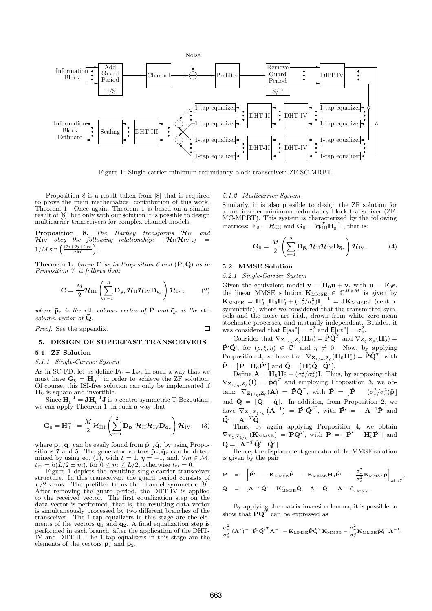

Figure 1: Single-carrier minimum redundancy block transceiver: ZF-SC-MRBT.

 $\Box$ 

Proposition 8 is a result taken from [8] that is required to prove the main mathematical contribution of this work, Theorem 1. Once again, Theorem 1 is based on a similar result of [8], but only with our solution it is possible to design multicarrier transceivers for complex channel models.

**Proposition 8.** The Hartley transforms  $\mathcal{H}_{II}$  and  $\mathcal{H}_{IV}$  obey the following relationship:  $[\mathcal{H}_{II} \mathcal{H}_{IV}]_{ii}$  =  $\mathcal{H}_{IV}$  *obey the following relationship:*  $1/M \sin \left( \frac{(2i+2j+1)\pi}{2M} \right)$ .

**Theorem 1.** *Given* **C** as in Proposition 6 and  $(\bar{P}, \bar{Q})$  as in *Proposition 7, it follows that:*

$$
\mathbf{C} = \frac{M}{2} \mathcal{H}_{\text{III}} \left( \sum_{r=1}^{R} \mathbf{D}_{\mathbf{\bar{p}}_r} \mathcal{H}_{\text{II}} \mathcal{H}_{\text{IV}} \mathbf{D}_{\mathbf{\bar{q}}_r} \right) \mathcal{H}_{\text{IV}}, \qquad (2)
$$

*where*  $\bar{\mathbf{p}}_r$  *is the rth column vector of*  $\bar{\mathbf{P}}$  *and*  $\bar{\mathbf{q}}_r$  *is the rth column vector of*  $\bar{Q}$ *.* 

*Proof.* See the appendix.

## 5. DESIGN OF SUPERFAST TRANSCEIVERS

### 5.1 ZF Solution

#### *5.1.1 Single-Carrier System*

As in SC-FD, let us define  $\mathbf{F}_0 = \mathbf{I}_M$ , in such a way that we must have  $\mathbf{G}_0 = \mathbf{H}_0^{-1}$  in order to achieve the ZF solution. Of course, this ISI-free solution can only be implemented if  $H_0$  is square and invertible.

Since  $\mathbf{H}_{0}^{-1} = \mathbf{J} \mathbf{H}_{0}^{-1} \mathbf{J}$  is a centro-symmetric T-Bezoutian, we can apply Theorem 1, in such a way that

$$
\mathbf{G}_0 = \mathbf{H}_0^{-1} = \frac{M}{2} \boldsymbol{\mathcal{H}}_{\text{III}} \left( \sum_{r=1}^2 \mathbf{D}_{\bar{\mathbf{p}}_r} \boldsymbol{\mathcal{H}}_{\text{II}} \boldsymbol{\mathcal{H}}_{\text{IV}} \mathbf{D}_{\bar{\mathbf{q}}_r} \right) \boldsymbol{\mathcal{H}}_{\text{IV}}, \quad (3)
$$

where  $\bar{\mathbf{p}}_r, \bar{\mathbf{q}}_r$  can be easily found from  $\hat{\mathbf{p}}_r, \hat{\mathbf{q}}_r$  by using Propositions 7 and 5. The generator vectors  $\hat{\mathbf{p}}_r, \hat{\mathbf{q}}_r$  can be determined by using eq. (1), with  $\xi = 1$ ,  $\eta = -1$ , and,  $\forall m \in \mathcal{M}$ ,  $t_m = h(L/2 \pm m)$ , for  $0 \le m \le L/2$ , otherwise  $t_m = 0$ .

Figure 1 depicts the resulting single-carrier transceiver structure. In this transceiver, the guard period consists of  $L/2$  zeros. The prefilter turns the channel symmetric [9]. After removing the guard period, the DHT-IV is applied to the received vector. The first equalization step on the data vector is performed, that is, the resulting data vector is simultaneously processed by two different branches of the transceiver. The 1-tap equalizers in this stage are the elements of the vectors  $\dot{\bar{q}}_1$  and  $\bar{q}_2$ . A final equalization step is performed in each branch, after the application of the DHT-IV and DHT-II. The 1-tap equalizers in this stage are the elements of the vectors  $\bar{p}_1$  and  $\bar{p}_2$ .

## *5.1.2 Multicarrier System*

Similarly, it is also possible to design the ZF solution for a multicarrier minimum redundancy block transceiver (ZF-MC-MRBT). This system is characterized by the following matrices:  $\mathbf{F}_0 = \mathbf{\mathcal{H}}_{\text{III}}$  and  $\mathbf{G}_0 = \mathbf{\mathcal{H}}_{\text{III}}^T \mathbf{H}_0^{-1}$ , that is:

$$
\mathbf{G}_0 = \frac{M}{2} \left( \sum_{r=1}^2 \mathbf{D}_{\bar{\mathbf{p}}_r} \mathcal{H}_{\mathrm{II}} \mathcal{H}_{\mathrm{IV}} \mathbf{D}_{\bar{\mathbf{q}}_r} \right) \mathcal{H}_{\mathrm{IV}}.
$$
(4)

## 5.2 MMSE Solution

*5.2.1 Single-Carrier System*

Given the equivalent model  $y = H_0 u + v$ , with  $u = F_0 s$ , the linear MMSE solution  $\mathbf{K}_{\text{MMSE}} \in \mathbb{C}^{M \times M}$  is given by  $\mathbf{K}_{\mathrm{MMSE}}\,=\,\mathbf{H}_{0}^{*}\left[\mathbf{H}_{0}\mathbf{H}_{0}^{*}+\left(\sigma_{v}^{2}/\sigma_{s}^{2}\right)\mathbf{I}\right]^{-1}\,=\,\mathbf{J}\mathbf{K}_{\mathrm{MMSE}}\mathbf{J}\,\left(\text{centro-}t\right)$ symmetric), where we considered that the transmitted symbols and the noise are i.i.d., drawn from white zero-mean stochastic processes, and mutually independent. Besides, it was considered that  $\mathsf{E}[ss^*] = \sigma_s^2$  and  $\mathsf{E}[vv^*] = \sigma_v^2$ .

Consider that  $\nabla_{\mathbf{Z}_1/\eta,\mathbf{Z}_\xi}(\mathbf{H}_0) = \hat{\mathbf{P}} \hat{\mathbf{Q}}^T$  and  $\nabla_{\mathbf{Z}_\xi,\mathbf{Z}_\rho}(\mathbf{H}_0^*)$  $\hat{\mathbf{P}}' \hat{\mathbf{Q}}'$ , for  $(\rho, \xi, \eta) \in \mathbb{C}^3$  and  $\eta \neq 0$ . Now, by applying Proposition 4, we have that  $\nabla_{\mathbf{Z}_{1/\eta},\mathbf{Z}_{\rho}}(\mathbf{H}_0 \mathbf{H}_0^*) = \mathbf{\dot{P}} \mathbf{\dot{Q}}^T$ , with  $\mathbf{\hat{P}} = [\mathbf{\hat{P}} \quad \mathbf{H}_0 \mathbf{\hat{P}}' ]$  and  $\mathbf{\hat{Q}} = [\mathbf{H}_0^* \mathbf{\hat{Q}} \quad \mathbf{\hat{Q}}' ].$ 

Define  $\mathbf{A} = \mathbf{H}_0 \mathbf{H}_0^* + (\sigma_v^2/\sigma_s^2) \mathbf{I}$ . Thus, by supposing that  $\nabla_{\mathbf{Z}_{1/\eta},\mathbf{Z}_{\rho}}(\mathbf{I}) = \mathring{\mathbf{p}}\mathring{\mathbf{q}}^T$  and employing Proposition 3, we obtain:  $\nabla_{\mathbf{Z}_{1/\eta},\mathbf{Z}_{\rho}}(\mathbf{A}) = \check{\mathbf{P}}\check{\mathbf{Q}}^{T}$ , with  $\check{\mathbf{P}} = [\mathring{\mathbf{P}} \quad (\sigma_v^2/\sigma_s^2)\mathring{\mathbf{p}}]$ and  $\check{\mathbf{Q}} = [\mathring{\mathbf{Q}} \quad \mathring{\mathbf{q}}]$ . In addition, from Proposition 2, we have  $\nabla_{\mathbf{Z}_{\rho},\mathbf{Z}_{1/\eta}} \left( \mathbf{A}^{-1} \right) = \check{\mathbf{P}}' \check{\mathbf{Q}}'^T$ , with  $\check{\mathbf{P}}' = -\mathbf{A}^{-1} \check{\mathbf{P}}$  and  $\check{\mathbf{Q}}' = \mathbf{A}^{-T} \check{\mathbf{Q}}.$ 

Thus, by again applying Proposition 4, we obtain  $\nabla_{\mathbf{Z}_{\xi},\mathbf{Z}_{1/\eta}}\left(\mathbf{K}_{\mathrm{MMSE}}\right) = \mathbf{P}\mathbf{Q}^T$ , with  $\mathbf{P} = \begin{bmatrix} \hat{\mathbf{P}}' & \mathbf{H}_0^* \check{\mathbf{P}}' \end{bmatrix}$  and  $\mathbf{Q} = [\mathbf{A}^{-T} \mathbf{\hat{Q}}' \quad \mathbf{\check{Q}}' ].$ 

Hence, the displacement generator of the MMSE solution is given by the pair

$$
\mathbf{P} = \begin{bmatrix} \hat{\mathbf{P}}' & -\mathbf{K}_{\text{MMSE}}\hat{\mathbf{P}} & -\mathbf{K}_{\text{MMSE}}\mathbf{H}_0\hat{\mathbf{P}}' & -\frac{\sigma_v^2}{\sigma_s^2}\mathbf{K}_{\text{MMSE}}\hat{\mathbf{p}} \end{bmatrix}_{M \times 7},
$$
  

$$
\mathbf{Q} = \begin{bmatrix} \mathbf{A}^{-T}\hat{\mathbf{Q}}' & \mathbf{K}_{\text{MMSE}}^T\hat{\mathbf{Q}} & \mathbf{A}^{-T}\hat{\mathbf{Q}}' & \mathbf{A}^{-T}\hat{\mathbf{q}} \end{bmatrix}_{M \times 7}.
$$

By applying the matrix inversion lemma, it is possible to show that  $\mathbf{PQ}^T$  can be expressed as

$$
\frac{\sigma_v^2}{\sigma_s^2} \left(\mathbf{A}^*\right)^{-1} \hat{\mathbf{P}}' \hat{\mathbf{Q}}'^T \mathbf{A}^{-1} - \mathbf{K}_{\mathrm{MMSE}} \hat{\mathbf{P}} \hat{\mathbf{Q}}^T \mathbf{K}_{\mathrm{MMSE}} - \frac{\sigma_v^2}{\sigma_s^2} \mathbf{K}_{\mathrm{MMSE}} \hat{\mathbf{p}} \hat{\mathbf{q}}^T \mathbf{A}^{-1}.
$$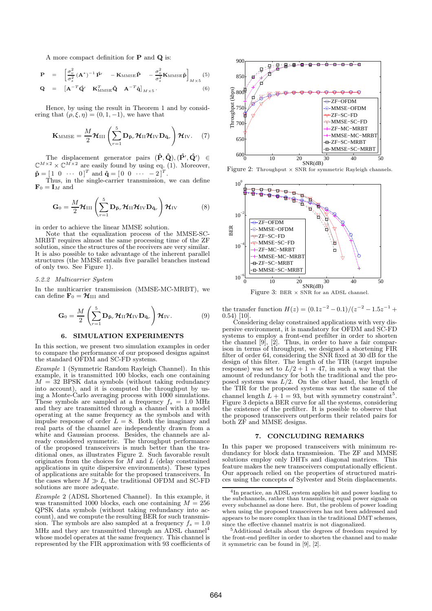A more compact definition for P and Q is:

$$
\mathbf{P} = \begin{bmatrix} \sigma_v^2 & (\mathbf{A}^*)^{-1} \hat{\mathbf{P}}' & -\mathbf{K}_{\text{MMSE}} \hat{\mathbf{P}} & -\frac{\sigma_v^2}{\sigma_s^2} \mathbf{K}_{\text{MMSE}} \hat{\mathbf{P}} \end{bmatrix}_{M \times 5} (5)
$$
\n
$$
\mathbf{Q} = \begin{bmatrix} \mathbf{A}^{-T} \hat{\mathbf{Q}}' & \mathbf{K}_{\text{MMSE}}^T \hat{\mathbf{Q}} & \mathbf{A}^{-T} \hat{\mathbf{q}} \end{bmatrix}_{M \times 5} .
$$

Hence, by using the result in Theorem 1 and by considering that  $(\rho, \xi, \eta) = (0, 1, -1)$ , we have that

$$
\mathbf{K}_{\text{MMSE}} = \frac{M}{2} \mathcal{H}_{\text{III}} \left( \sum_{r=1}^{5} \mathbf{D}_{\bar{\mathbf{p}}_r} \mathcal{H}_{\text{II}} \mathcal{H}_{\text{IV}} \mathbf{D}_{\bar{\mathbf{q}}_r} \right) \mathcal{H}_{\text{IV}}.
$$
 (7)

The displacement generator pairs  $(\hat{P}, \hat{Q}), (\hat{P}', \hat{Q}') \in$  $\mathbb{C}^{M\times2}\times \mathbb{C}^{M\times2}$  are easily found by using eq. (1). Moreover,  $\mathbf{\hat{p}} = [1 \ 0 \ \cdots \ 0]^T$  and  $\mathbf{\hat{q}} = [0 \ 0 \ \cdots \ -2]^T$ .

Thus, in the single-carrier transmission, we can define  $\mathbf{F}_0 = \mathbf{I}_M$  and

$$
\mathbf{G}_0 = \frac{M}{2} \mathcal{H}_{\text{III}} \left( \sum_{r=1}^5 \mathbf{D}_{\bar{\mathbf{p}}_r} \mathcal{H}_{\text{II}} \mathcal{H}_{\text{IV}} \mathbf{D}_{\bar{\mathbf{q}}_r} \right) \mathcal{H}_{\text{IV}} \tag{8}
$$

in order to achieve the linear MMSE solution.

Note that the equalization process of the MMSE-SC-MRBT requires almost the same processing time of the ZF solution, since the structures of the receivers are very similar. It is also possible to take advantage of the inherent parallel structures (the MMSE entails five parallel branches instead of only two. See Figure 1).

#### *5.2.2 Multicarrier System*

In the multicarrier transmission (MMSE-MC-MRBT), we can define  $\mathbf{F}_0 = \mathbf{\mathcal{H}}_{\text{III}}$  and

$$
\mathbf{G}_0 = \frac{M}{2} \left( \sum_{r=1}^5 \mathbf{D}_{\bar{\mathbf{p}}_r} \mathcal{H}_{\mathrm{II}} \mathcal{H}_{\mathrm{IV}} \mathbf{D}_{\bar{\mathbf{q}}_r} \right) \mathcal{H}_{\mathrm{IV}}.
$$
(9)

#### 6. SIMULATION EXPERIMENTS

In this section, we present two simulation examples in order to compare the performance of our proposed designs against the standard OFDM and SC-FD systems.

*Example* 1 (Symmetric Random Rayleigh Channel)*.* In this example, it is transmitted 100 blocks, each one containing  $M = 32$  BPSK data symbols (without taking redundancy into account), and it is computed the throughput by using a Monte-Carlo averaging process with 1000 simulations. These symbols are sampled at a frequency  $f_s = 1.0$  MHz and they are transmitted through a channel with a model operating at the same frequency as the symbols and with impulse response of order  $\hat{L} = 8$ . Both the imaginary and real parts of the channel are independently drawn from a white and Gaussian process. Besides, the channels are already considered symmetric. The throughput performance of the proposed transceivers is much better than the traditional ones, as illustrates Figure 2. Such favorable result originates from the choices for  $M$  and  $L$  (delay constrained applications in quite dispersive environments). These types of applications are suitable for the proposed transceivers. In the cases where  $M \gg L$ , the traditional OFDM and SC-FD solutions are more adequate.

*Example* 2 (ADSL Shortened Channel)*.* In this example, it was transmitted 1000 blocks, each one containing  $M = 256$ QPSK data symbols (without taking redundancy into account), and we compute the resulting BER for such transmission. The symbols are also sampled at a frequency  $f_s = 1.0$ MHz and they are transmitted through an ADSL channel<sup>4</sup> whose model operates at the same frequency. This channel is represented by the FIR approximation with 93 coefficients of



Figure 2: Throughput × SNR for symmetric Rayleigh channels.



Figure 3: BER × SNR for an ADSL channel.

the transfer function  $H(z) = (0.1z^{-2} - 0.1)/(z^{-2} - 1.5z^{-1} + 0.5z^{-1})$ 0.54) [10].

Considering delay constrained applications with very dispersive environment, it is mandatory for OFDM and SC-FD systems to employ a front-end prefilter in order to shorten the channel [9], [2]. Thus, in order to have a fair comparison in terms of throughput, we designed a shortening FIR filter of order 64, considering the SNR fixed at 30 dB for the design of this filter. The length of the TIR (target impulse response) was set to  $L/2 + 1 = 47$ , in such a way that the amount of redundancy for both the traditional and the proposed systems was  $L/2$ . On the other hand, the length of the TIR for the proposed systems was set the same of the channel length  $L + 1 = 93$ , but with symmetry constraint<sup>5</sup>. Figure 3 depicts a BER curve for all the systems, considering the existence of the prefilter. It is possible to observe that the proposed transceivers outperform their related pairs for both ZF and MMSE designs.

## 7. CONCLUDING REMARKS

In this paper we proposed transceivers with minimum redundancy for block data transmission. The ZF and MMSE solutions employ only DHTs and diagonal matrices. This feature makes the new transceivers computationally efficient. Our approach relied on the properties of structured matrices using the concepts of Sylvester and Stein displacements.

<sup>4</sup> In practice, an ADSL system applies bit and power loading to the subchannels, rather than transmitting equal power signals on every subchannel as done here. But, the problem of power loading when using the proposed transceivers has not been addressed and appears to be more complex than in the traditional DMT schemes, since the effective channel matrix is not diagonalized.

<sup>5</sup>Additional details about the degrees of freedom required by the front-end prefilter in order to shorten the channel and to make it symmetric can be found in [9], [2].